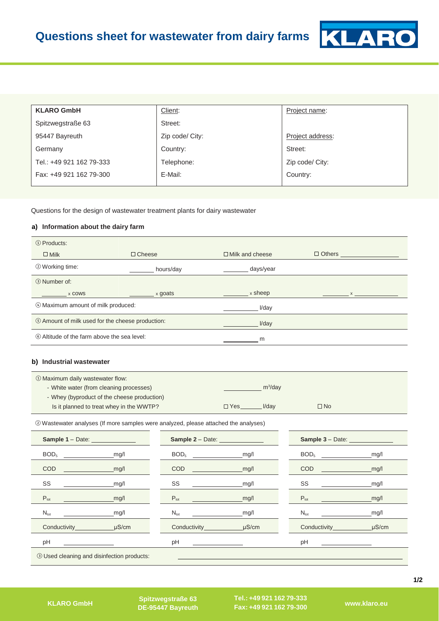

| <b>KLARO GmbH</b>        | Client:         | Project name:    |
|--------------------------|-----------------|------------------|
| Spitzwegstraße 63        | Street:         |                  |
| 95447 Bayreuth           | Zip code/ City: | Project address: |
| Germany                  | Country:        | Street:          |
| Tel.: +49 921 162 79-333 | Telephone:      | Zip code/ City:  |
| Fax: +49 921 162 79-300  | E-Mail:         | Country:         |
|                          |                 |                  |

Questions for the design of wastewater treatment plants for dairy wastewater

## **a) Information about the dairy farm**

| ① Products:                                      |               |                        |               |
|--------------------------------------------------|---------------|------------------------|---------------|
| $\Box$ Milk                                      | $\Box$ Cheese | $\Box$ Milk and cheese | $\Box$ Others |
| 2 Working time:                                  | hours/day     | days/year              |               |
| <b>3 Number of:</b>                              |               |                        |               |
| x COWS                                           | x goats       | x sheep                |               |
| 4 Maximum amount of milk produced:               |               | I/dav                  |               |
| 5 Amount of milk used for the cheese production: |               | I/day                  |               |
| 6 Altitude of the farm above the sea level:      |               | m                      |               |

## **b) Industrial wastewater**

| ① Maximum daily wastewater flow:            |            |            |              |
|---------------------------------------------|------------|------------|--------------|
| - White water (from cleaning processes)     |            | $m^3$ /dav |              |
| - Whey (byproduct of the cheese production) |            |            |              |
| Is it planned to treat whey in the WWTP?    | $\Box$ Yes | I/dav      | $\square$ No |

② Wastewater analyses (If more samples were analyzed, please attached the analyses)

| <b>Sample 1 - Date:</b> _______________           | Sample 2 - Date: ______________ |                                                                                                                                                                                                                                                                                                                                                     |
|---------------------------------------------------|---------------------------------|-----------------------------------------------------------------------------------------------------------------------------------------------------------------------------------------------------------------------------------------------------------------------------------------------------------------------------------------------------|
| BOD <sub>5</sub>                                  | BOD <sub>5</sub>                | BOD <sub>5</sub>                                                                                                                                                                                                                                                                                                                                    |
| mg/l                                              | mg/l                            | mg/l                                                                                                                                                                                                                                                                                                                                                |
| mg/l                                              | mg/l                            | <b>COD COD</b>                                                                                                                                                                                                                                                                                                                                      |
| <b>COD</b>                                        | $\overline{COD}$                | mg/l                                                                                                                                                                                                                                                                                                                                                |
| SS                                                | SS                              | SS                                                                                                                                                                                                                                                                                                                                                  |
| mg/l                                              | _mg/l                           | mg/l                                                                                                                                                                                                                                                                                                                                                |
| $P_{\text{tot}}$                                  | $P_{\text{tot}}$                | $\begin{picture}(180,10) \put(0,0){\line(1,0){10}} \put(10,0){\line(1,0){10}} \put(10,0){\line(1,0){10}} \put(10,0){\line(1,0){10}} \put(10,0){\line(1,0){10}} \put(10,0){\line(1,0){10}} \put(10,0){\line(1,0){10}} \put(10,0){\line(1,0){10}} \put(10,0){\line(1,0){10}} \put(10,0){\line(1,0){10}} \put(10,0){\line(1,0){10}} \put(10,0){\line($ |
| mg/l                                              | mg/l                            | mg/l                                                                                                                                                                                                                                                                                                                                                |
| $N_{\text{tot}}$                                  | mg/l                            | $N_{\rm tot}$                                                                                                                                                                                                                                                                                                                                       |
| mg/l                                              | $N_{\rm tot}$                   | mg/l                                                                                                                                                                                                                                                                                                                                                |
| Conductivity uS/cm                                | $\mu$ S/cm                      | Conductivity uS/cm                                                                                                                                                                                                                                                                                                                                  |
| pH                                                | pH                              | pH                                                                                                                                                                                                                                                                                                                                                  |
| <b>3 Used cleaning and disinfection products:</b> |                                 |                                                                                                                                                                                                                                                                                                                                                     |

**Fax: +49 921 162 79-300 DE-95447 Bayreuth KLARO GmbH www.klaro.eu Spitzwegstraße 63** 

**Tel.: +49 921 162 79-333**